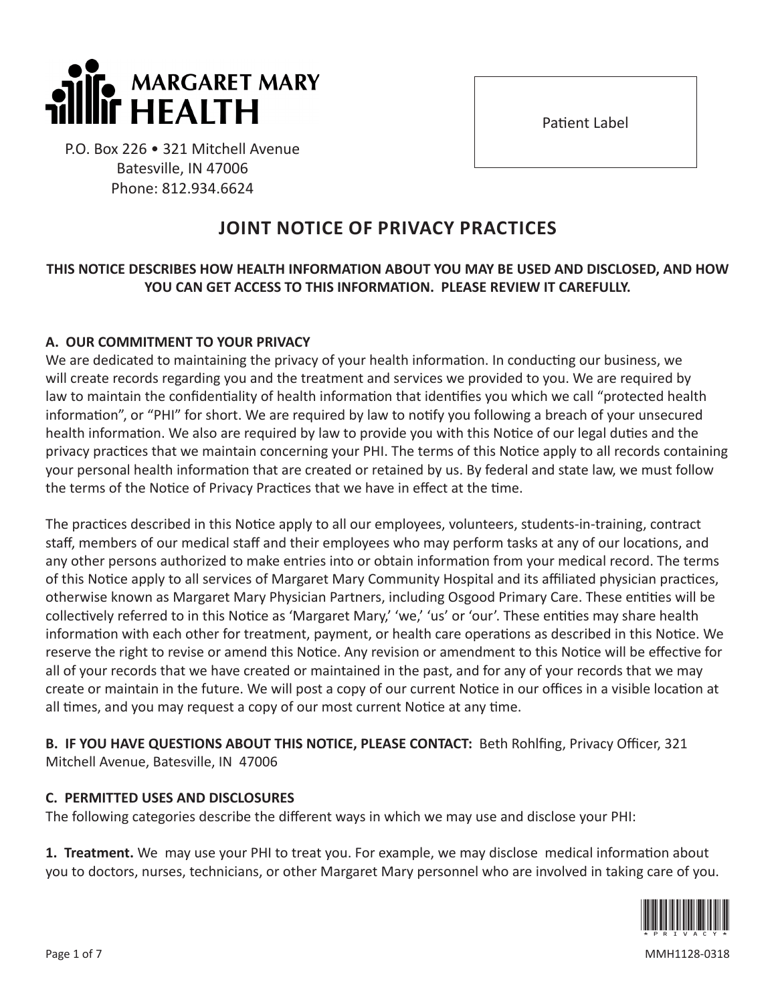

P.O. Box 226 • 321 Mitchell Avenue Batesville, IN 47006 Phone: 812.934.6624

# **JOINT NOTICE OF PRIVACY PRACTICES**

### **THIS NOTICE DESCRIBES HOW HEALTH INFORMATION ABOUT YOU MAY BE USED AND DISCLOSED, AND HOW YOU CAN GET ACCESS TO THIS INFORMATION. PLEASE REVIEW IT CAREFULLY.**

#### **A. OUR COMMITMENT TO YOUR PRIVACY**

We are dedicated to maintaining the privacy of your health information. In conducting our business, we will create records regarding you and the treatment and services we provided to you. We are required by law to maintain the confidentiality of health information that identifies you which we call "protected health information", or "PHI" for short. We are required by law to notify you following a breach of your unsecured health information. We also are required by law to provide you with this Notice of our legal duties and the privacy practices that we maintain concerning your PHI. The terms of this Notice apply to all records containing your personal health information that are created or retained by us. By federal and state law, we must follow the terms of the Notice of Privacy Practices that we have in effect at the time.

The practices described in this Notice apply to all our employees, volunteers, students-in-training, contract staff, members of our medical staff and their employees who may perform tasks at any of our locations, and any other persons authorized to make entries into or obtain information from your medical record. The terms of this Notice apply to all services of Margaret Mary Community Hospital and its affiliated physician practices, otherwise known as Margaret Mary Physician Partners, including Osgood Primary Care. These entities will be collectively referred to in this Notice as 'Margaret Mary,' 'we,' 'us' or 'our'. These entities may share health information with each other for treatment, payment, or health care operations as described in this Notice. We reserve the right to revise or amend this Notice. Any revision or amendment to this Notice will be effective for all of your records that we have created or maintained in the past, and for any of your records that we may create or maintain in the future. We will post a copy of our current Notice in our offices in a visible location at all times, and you may request a copy of our most current Notice at any time.

**B. IF YOU HAVE QUESTIONS ABOUT THIS NOTICE, PLEASE CONTACT:** Beth Rohlfing, Privacy Officer, 321 Mitchell Avenue, Batesville, IN 47006

#### **C. PERMITTED USES AND DISCLOSURES**

The following categories describe the different ways in which we may use and disclose your PHI:

**1. Treatment.** We may use your PHI to treat you. For example, we may disclose medical information about you to doctors, nurses, technicians, or other Margaret Mary personnel who are involved in taking care of you.



Page 1 of 7 MMH1128-0318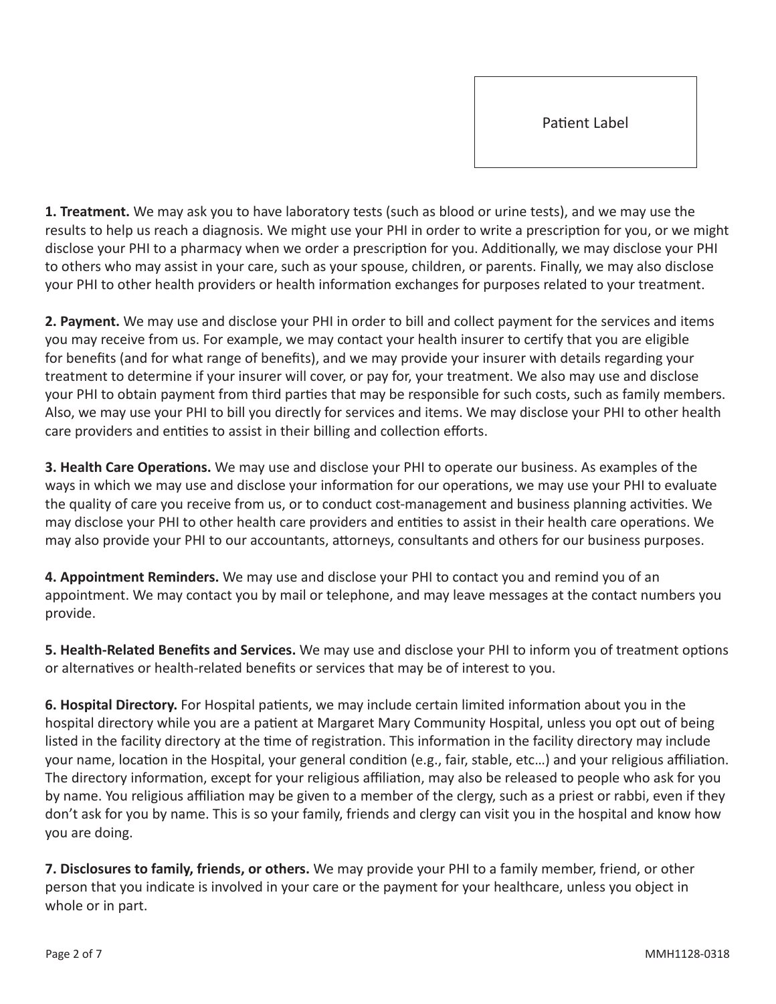**1. Treatment.** We may ask you to have laboratory tests (such as blood or urine tests), and we may use the results to help us reach a diagnosis. We might use your PHI in order to write a prescription for you, or we might disclose your PHI to a pharmacy when we order a prescription for you. Additionally, we may disclose your PHI to others who may assist in your care, such as your spouse, children, or parents. Finally, we may also disclose your PHI to other health providers or health information exchanges for purposes related to your treatment.

**2. Payment.** We may use and disclose your PHI in order to bill and collect payment for the services and items you may receive from us. For example, we may contact your health insurer to certify that you are eligible for benefits (and for what range of benefits), and we may provide your insurer with details regarding your treatment to determine if your insurer will cover, or pay for, your treatment. We also may use and disclose your PHI to obtain payment from third parties that may be responsible for such costs, such as family members. Also, we may use your PHI to bill you directly for services and items. We may disclose your PHI to other health care providers and entities to assist in their billing and collection efforts.

**3. Health Care Operations.** We may use and disclose your PHI to operate our business. As examples of the ways in which we may use and disclose your information for our operations, we may use your PHI to evaluate the quality of care you receive from us, or to conduct cost-management and business planning activities. We may disclose your PHI to other health care providers and entities to assist in their health care operations. We may also provide your PHI to our accountants, attorneys, consultants and others for our business purposes.

**4. Appointment Reminders.** We may use and disclose your PHI to contact you and remind you of an appointment. We may contact you by mail or telephone, and may leave messages at the contact numbers you provide.

**5. Health-Related Benefits and Services.** We may use and disclose your PHI to inform you of treatment options or alternatives or health-related benefits or services that may be of interest to you.

**6. Hospital Directory.** For Hospital patients, we may include certain limited information about you in the hospital directory while you are a patient at Margaret Mary Community Hospital, unless you opt out of being listed in the facility directory at the time of registration. This information in the facility directory may include your name, location in the Hospital, your general condition (e.g., fair, stable, etc…) and your religious affiliation. The directory information, except for your religious affiliation, may also be released to people who ask for you by name. You religious affiliation may be given to a member of the clergy, such as a priest or rabbi, even if they don't ask for you by name. This is so your family, friends and clergy can visit you in the hospital and know how you are doing.

**7. Disclosures to family, friends, or others.** We may provide your PHI to a family member, friend, or other person that you indicate is involved in your care or the payment for your healthcare, unless you object in whole or in part.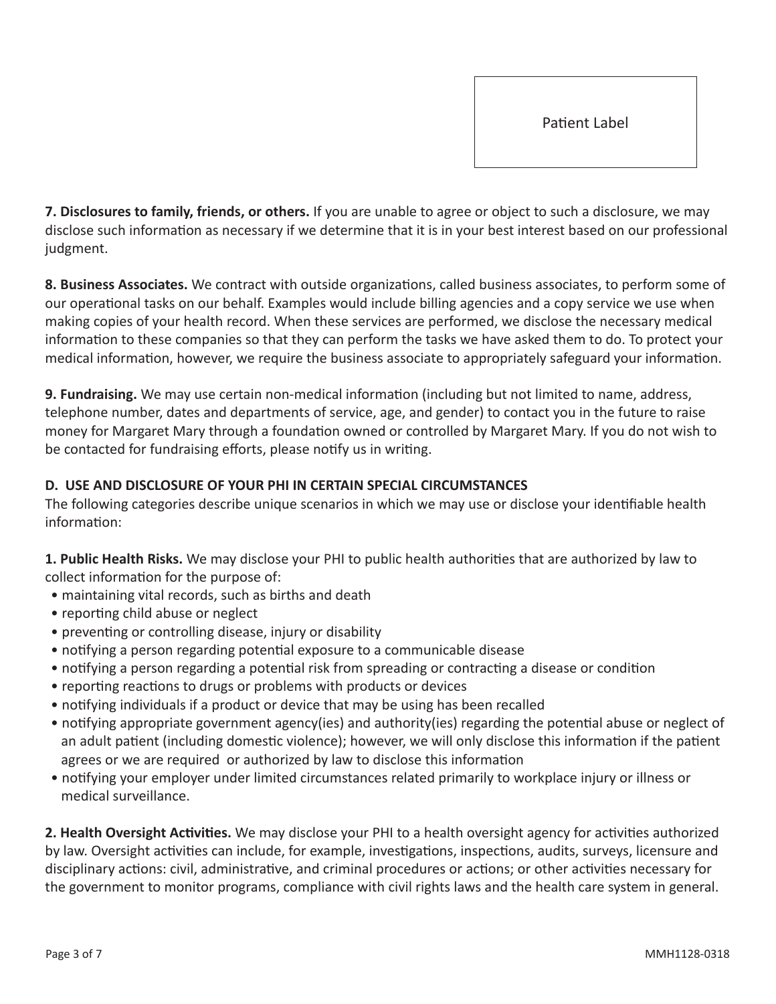**7. Disclosures to family, friends, or others.** If you are unable to agree or object to such a disclosure, we may disclose such information as necessary if we determine that it is in your best interest based on our professional judgment.

**8. Business Associates.** We contract with outside organizations, called business associates, to perform some of our operational tasks on our behalf. Examples would include billing agencies and a copy service we use when making copies of your health record. When these services are performed, we disclose the necessary medical information to these companies so that they can perform the tasks we have asked them to do. To protect your medical information, however, we require the business associate to appropriately safeguard your information.

**9. Fundraising.** We may use certain non-medical information (including but not limited to name, address, telephone number, dates and departments of service, age, and gender) to contact you in the future to raise money for Margaret Mary through a foundation owned or controlled by Margaret Mary. If you do not wish to be contacted for fundraising efforts, please notify us in writing.

#### **D. USE AND DISCLOSURE OF YOUR PHI IN CERTAIN SPECIAL CIRCUMSTANCES**

The following categories describe unique scenarios in which we may use or disclose your identifiable health information:

**1. Public Health Risks.** We may disclose your PHI to public health authorities that are authorized by law to collect information for the purpose of:

- maintaining vital records, such as births and death
- reporting child abuse or neglect
- preventing or controlling disease, injury or disability
- notifying a person regarding potential exposure to a communicable disease
- notifying a person regarding a potential risk from spreading or contracting a disease or condition
- reporting reactions to drugs or problems with products or devices
- notifying individuals if a product or device that may be using has been recalled
- notifying appropriate government agency(ies) and authority(ies) regarding the potential abuse or neglect of an adult patient (including domestic violence); however, we will only disclose this information if the patient agrees or we are required or authorized by law to disclose this information
- notifying your employer under limited circumstances related primarily to workplace injury or illness or medical surveillance.

**2. Health Oversight Activities.** We may disclose your PHI to a health oversight agency for activities authorized by law. Oversight activities can include, for example, investigations, inspections, audits, surveys, licensure and disciplinary actions: civil, administrative, and criminal procedures or actions; or other activities necessary for the government to monitor programs, compliance with civil rights laws and the health care system in general.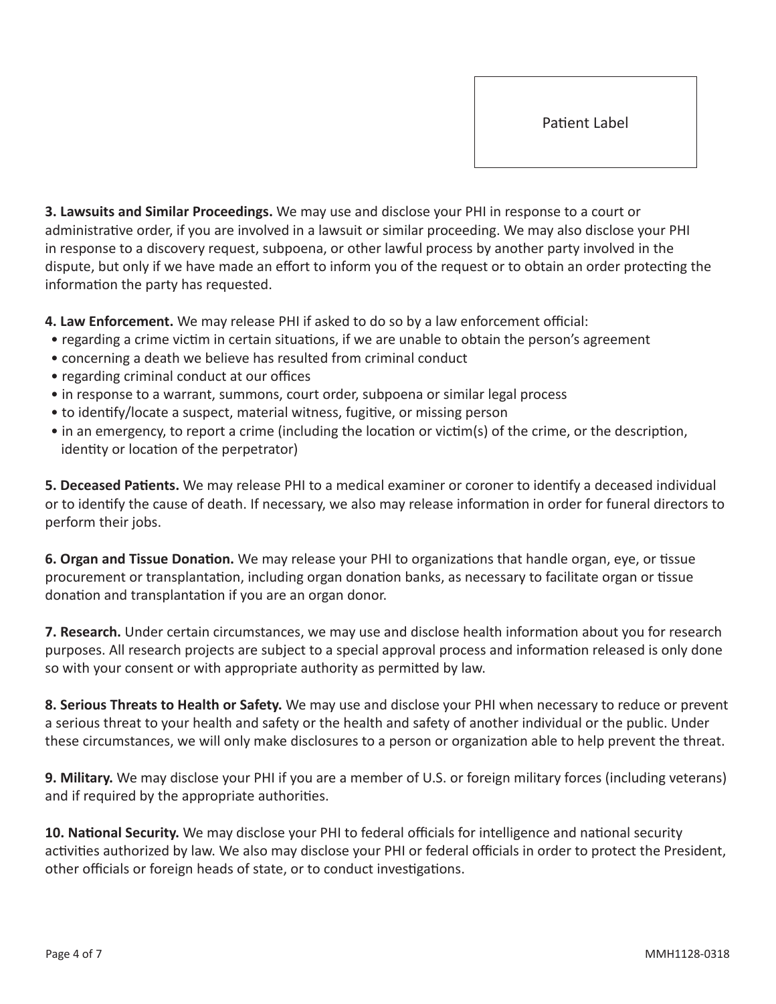**3. Lawsuits and Similar Proceedings.** We may use and disclose your PHI in response to a court or administrative order, if you are involved in a lawsuit or similar proceeding. We may also disclose your PHI in response to a discovery request, subpoena, or other lawful process by another party involved in the dispute, but only if we have made an effort to inform you of the request or to obtain an order protecting the information the party has requested.

**4. Law Enforcement.** We may release PHI if asked to do so by a law enforcement official:

- regarding a crime victim in certain situations, if we are unable to obtain the person's agreement
- concerning a death we believe has resulted from criminal conduct
- regarding criminal conduct at our offices
- in response to a warrant, summons, court order, subpoena or similar legal process
- to identify/locate a suspect, material witness, fugitive, or missing person
- in an emergency, to report a crime (including the location or victim(s) of the crime, or the description, identity or location of the perpetrator)

**5. Deceased Patients.** We may release PHI to a medical examiner or coroner to identify a deceased individual or to identify the cause of death. If necessary, we also may release information in order for funeral directors to perform their jobs.

**6. Organ and Tissue Donation.** We may release your PHI to organizations that handle organ, eye, or tissue procurement or transplantation, including organ donation banks, as necessary to facilitate organ or tissue donation and transplantation if you are an organ donor.

**7. Research.** Under certain circumstances, we may use and disclose health information about you for research purposes. All research projects are subject to a special approval process and information released is only done so with your consent or with appropriate authority as permitted by law.

**8. Serious Threats to Health or Safety.** We may use and disclose your PHI when necessary to reduce or prevent a serious threat to your health and safety or the health and safety of another individual or the public. Under these circumstances, we will only make disclosures to a person or organization able to help prevent the threat.

**9. Military.** We may disclose your PHI if you are a member of U.S. or foreign military forces (including veterans) and if required by the appropriate authorities.

**10. National Security.** We may disclose your PHI to federal officials for intelligence and national security activities authorized by law. We also may disclose your PHI or federal officials in order to protect the President, other officials or foreign heads of state, or to conduct investigations.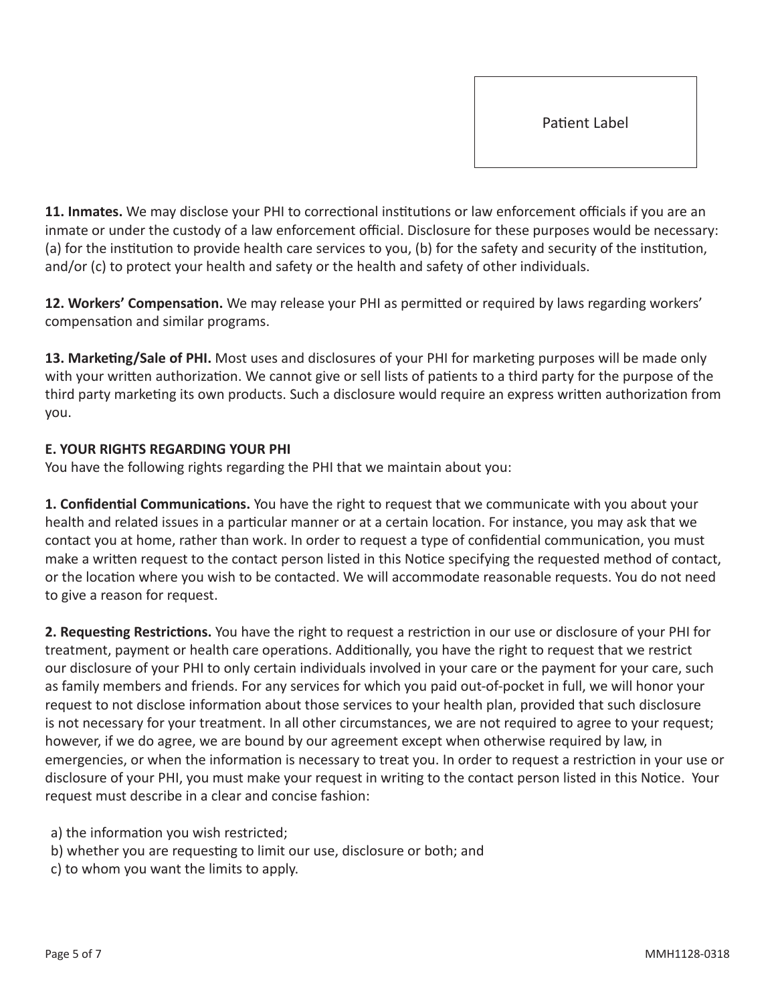**11. Inmates.** We may disclose your PHI to correctional institutions or law enforcement officials if you are an inmate or under the custody of a law enforcement official. Disclosure for these purposes would be necessary: (a) for the institution to provide health care services to you, (b) for the safety and security of the institution, and/or (c) to protect your health and safety or the health and safety of other individuals.

**12. Workers' Compensation.** We may release your PHI as permitted or required by laws regarding workers' compensation and similar programs.

**13. Marketing/Sale of PHI.** Most uses and disclosures of your PHI for marketing purposes will be made only with your written authorization. We cannot give or sell lists of patients to a third party for the purpose of the third party marketing its own products. Such a disclosure would require an express written authorization from you.

## **E. YOUR RIGHTS REGARDING YOUR PHI**

You have the following rights regarding the PHI that we maintain about you:

**1. Confidential Communications.** You have the right to request that we communicate with you about your health and related issues in a particular manner or at a certain location. For instance, you may ask that we contact you at home, rather than work. In order to request a type of confidential communication, you must make a written request to the contact person listed in this Notice specifying the requested method of contact, or the location where you wish to be contacted. We will accommodate reasonable requests. You do not need to give a reason for request.

**2. Requesting Restrictions.** You have the right to request a restriction in our use or disclosure of your PHI for treatment, payment or health care operations. Additionally, you have the right to request that we restrict our disclosure of your PHI to only certain individuals involved in your care or the payment for your care, such as family members and friends. For any services for which you paid out-of-pocket in full, we will honor your request to not disclose information about those services to your health plan, provided that such disclosure is not necessary for your treatment. In all other circumstances, we are not required to agree to your request; however, if we do agree, we are bound by our agreement except when otherwise required by law, in emergencies, or when the information is necessary to treat you. In order to request a restriction in your use or disclosure of your PHI, you must make your request in writing to the contact person listed in this Notice. Your request must describe in a clear and concise fashion:

- a) the information you wish restricted;
- b) whether you are requesting to limit our use, disclosure or both; and
- c) to whom you want the limits to apply.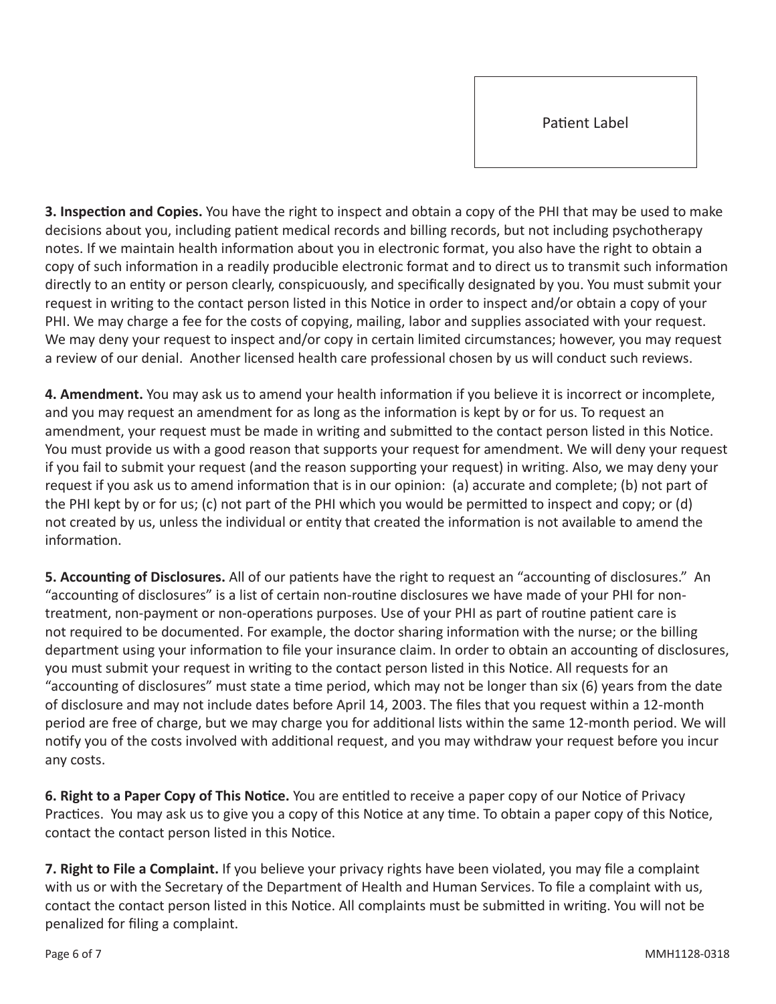**3. Inspection and Copies.** You have the right to inspect and obtain a copy of the PHI that may be used to make decisions about you, including patient medical records and billing records, but not including psychotherapy notes. If we maintain health information about you in electronic format, you also have the right to obtain a copy of such information in a readily producible electronic format and to direct us to transmit such information directly to an entity or person clearly, conspicuously, and specifically designated by you. You must submit your request in writing to the contact person listed in this Notice in order to inspect and/or obtain a copy of your PHI. We may charge a fee for the costs of copying, mailing, labor and supplies associated with your request. We may deny your request to inspect and/or copy in certain limited circumstances; however, you may request a review of our denial. Another licensed health care professional chosen by us will conduct such reviews.

**4. Amendment.** You may ask us to amend your health information if you believe it is incorrect or incomplete, and you may request an amendment for as long as the information is kept by or for us. To request an amendment, your request must be made in writing and submitted to the contact person listed in this Notice. You must provide us with a good reason that supports your request for amendment. We will deny your request if you fail to submit your request (and the reason supporting your request) in writing. Also, we may deny your request if you ask us to amend information that is in our opinion: (a) accurate and complete; (b) not part of the PHI kept by or for us; (c) not part of the PHI which you would be permitted to inspect and copy; or (d) not created by us, unless the individual or entity that created the information is not available to amend the information.

**5. Accounting of Disclosures.** All of our patients have the right to request an "accounting of disclosures." An "accounting of disclosures" is a list of certain non-routine disclosures we have made of your PHI for nontreatment, non-payment or non-operations purposes. Use of your PHI as part of routine patient care is not required to be documented. For example, the doctor sharing information with the nurse; or the billing department using your information to file your insurance claim. In order to obtain an accounting of disclosures, you must submit your request in writing to the contact person listed in this Notice. All requests for an "accounting of disclosures" must state a time period, which may not be longer than six (6) years from the date of disclosure and may not include dates before April 14, 2003. The files that you request within a 12-month period are free of charge, but we may charge you for additional lists within the same 12-month period. We will notify you of the costs involved with additional request, and you may withdraw your request before you incur any costs.

**6. Right to a Paper Copy of This Notice.** You are entitled to receive a paper copy of our Notice of Privacy Practices. You may ask us to give you a copy of this Notice at any time. To obtain a paper copy of this Notice, contact the contact person listed in this Notice.

**7. Right to File a Complaint.** If you believe your privacy rights have been violated, you may file a complaint with us or with the Secretary of the Department of Health and Human Services. To file a complaint with us, contact the contact person listed in this Notice. All complaints must be submitted in writing. You will not be penalized for filing a complaint.